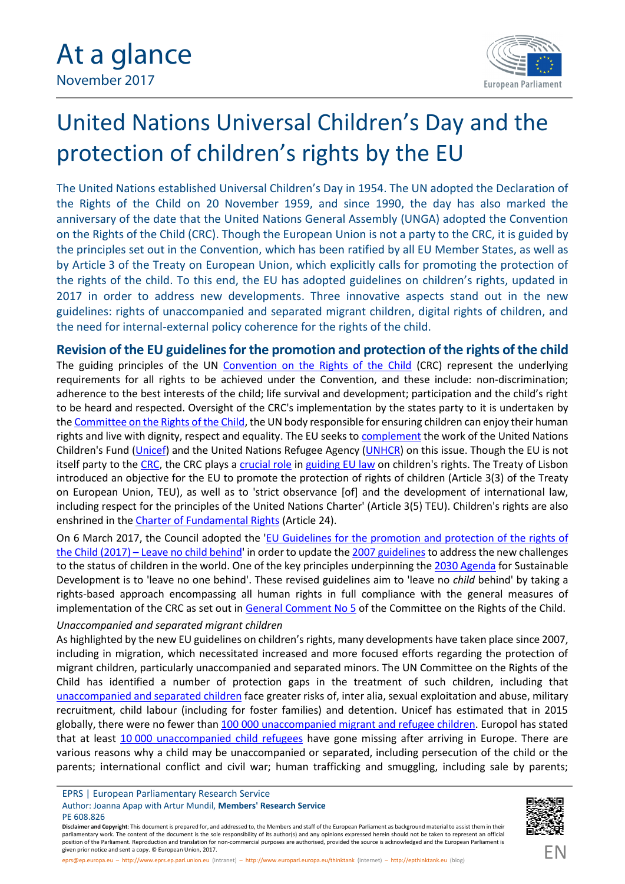

# United Nations Universal Children's Day and the protection of children's rights by the EU

The United Nations established Universal Children's Day in 1954. The UN adopted the Declaration of the Rights of the Child on 20 November 1959, and since 1990, the day has also marked the anniversary of the date that the United Nations General Assembly (UNGA) adopted the Convention on the Rights of the Child (CRC). Though the European Union is not a party to the CRC, it is guided by the principles set out in the Convention, which has been ratified by all EU Member States, as well as by Article 3 of the Treaty on European Union, which explicitly calls for promoting the protection of the rights of the child. To this end, the EU has adopted guidelines on children's rights, updated in 2017 in order to address new developments. Three innovative aspects stand out in the new guidelines: rights of unaccompanied and separated migrant children, digital rights of children, and the need for internal-external policy coherence for the rights of the child.

**Revision of the EU guidelines for the promotion and protection of the rights of the child** The guiding principles of the UN [Convention on the Rights of the Child](http://www.un.org/en/ga/search/view_doc.asp?symbol=A/RES/44/25) (CRC) represent the underlying requirements for all rights to be achieved under the Convention, and these include: non-discrimination; adherence to the best interests of the child; life survival and development; participation and the child's right to be heard and respected. Oversight of the CRC's implementation by the states party to it is undertaken by the [Committee on the Rights of the Child](https://www.crin.org/en/guides/un-international-system/committee-rights-child), the UN body responsible for ensuring children can enjoy their human rights and live with dignity, respect and equality. The EU seeks to [complement](https://epthinktank.eu/unaccompanied-migrant-children-in-the-eu/) the work of the United Nations Children's Fund [\(Unicef](https://www.unicef.org/about/who/index_faq.html)) and the United Nations Refugee Agency [\(UNHCR\)](http://www.unhcr.org/history-of-unhcr.html) on this issue. Though the EU is not itself party to the [CRC,](http://www.un.org/en/ga/search/view_doc.asp?symbol=A/RES/44/25) the CRC plays a [crucial role](http://www.europarl.europa.eu/RegData/etudes/ATAG/2016/593541/EPRS_ATA%282016%29593541_EN.pdf) in [guiding EU law](http://ec.europa.eu/justice/fundamental-rights/rights-child/index_en.htm) on children's rights. The Treaty of Lisbon introduced an objective for the EU to promote the protection of rights of children (Article 3(3) of the Treaty on European Union, TEU), as well as to 'strict observance [of] and the development of international law, including respect for the principles of the United Nations Charter' (Article 3(5) TEU). Children's rights are also enshrined in the [Charter of Fundamental Rights](http://ec.europa.eu/justice/fundamental-rights/charter/index_en.htm) (Article 24).

On 6 March 2017, the Council adopted the 'EU Guidelines for the [promotion and](https://ec.europa.eu/anti-trafficking/eu-policy/guidelines-promotion-and-protection-rights-child-2017_en) protection of the rights of the Child (2017) – [Leave no child behind](https://ec.europa.eu/anti-trafficking/eu-policy/guidelines-promotion-and-protection-rights-child-2017_en)' in order to update the [2007 guidelines](http://eur-lex.europa.eu/LexUriServ/LexUriServ.do?uri=COM:2006:0367:FIN:en:PDF) to address the new challenges to the status of children in the world. One of the key principles underpinning the [2030 Agenda](https://data.unicef.org/children-sustainable-development-goals/) for Sustainable Development is to 'leave no one behind'. These revised guidelines aim to 'leave no *child* behind' by taking a rights-based approach encompassing all human rights in full compliance with the general measures of implementation of the CRC as set out in [General Comment No 5](http://docstore.ohchr.org/SelfServices/FilesHandler.ashx?enc=6QkG1d%2FPPRiCAqhKb7yhsiQql8gX5Zxh0cQqSRzx6Zd2%2FQRsDnCTcaruSeZhPr2vUevjbn6t6GSi1fheVp%2Bj5HTLU2Ub%2FPZZtQWn0jExFVnWuhiBbqgAj0dWBoFGbK0c) of the Committee on the Rights of the Child.

#### *Unaccompanied and separated migrant children*

As highlighted by the new EU guidelines on children's rights, many developments have taken place since 2007, including in migration, which necessitated increased and more focused efforts regarding the protection of migrant children, particularly unaccompanied and separated minors. The UN Committee on the Rights of the Child has identified a number of protection gaps in the treatment of such children, including that [unaccompanied and separated children](http://www.europarl.europa.eu/RegData/etudes/BRIE/2016/595853/EPRS_BRI(2016)595853_EN.pdf) face greater risks of, inter alia, sexual exploitation and abuse, military recruitment, child labour (including for foster families) and detention. Unicef has estimated that in 2015 globally, there were no fewer than 100 [000 unaccompanied migrant and refugee children.](https://www.unicef.org/ceecis/media_29562.html) Europol has stated that at least 10 [000 unaccompanied child refugees](http://missingchildreneurope.eu/news/Post/1023/Europol-confirms-the-disappearance-of-10-000-migrant-children-in-Europe) have gone missing after arriving in Europe. There are various reasons why a child may be unaccompanied or separated, including persecution of the child or the parents; international conflict and civil war; human trafficking and smuggling, including sale by parents;

EPRS | European Parliamentary Research Service

Author: Joanna Apap with Artur Mundil, **Members' Research Service** PE 608.826

**Disclaimer and Copyright**: This document is prepared for, and addressed to, the Members and staff of the European Parliament as background material to assist them in their parliamentary work. The content of the document is the sole responsibility of its author(s) and any opinions expressed herein should not be taken to represent an official position of the Parliament. Reproduction and translation for non-commercial purposes are authorised, provided the source is acknowledged and the European Parliament is given prior notice and sent a copy. © European Union, 2017.